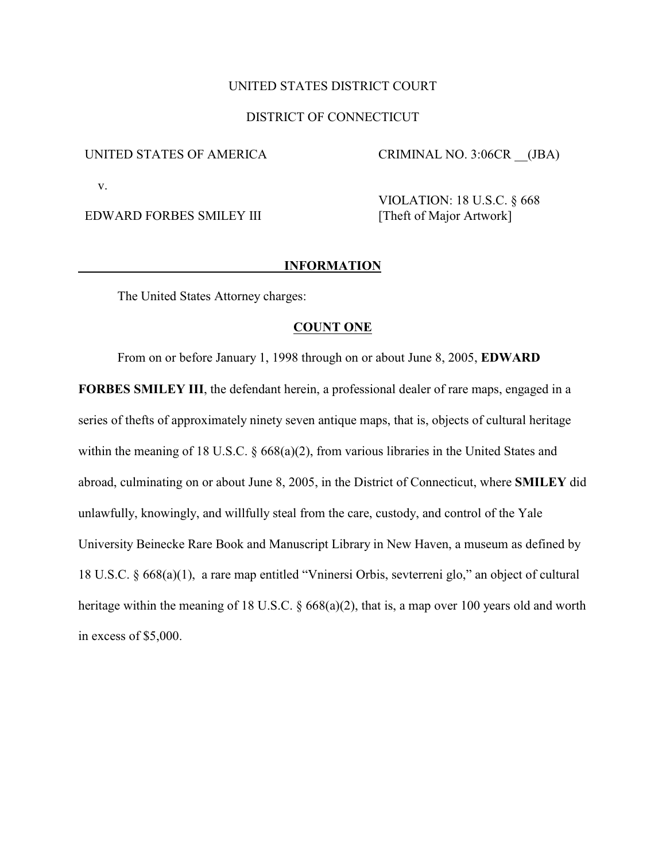# UNITED STATES DISTRICT COURT

# DISTRICT OF CONNECTICUT

### UNITED STATES OF AMERICA

CRIMINAL NO. 3:06CR \_\_(JBA)

v.

EDWARD FORBES SMILEY III

VIOLATION: 18 U.S.C. § 668 [Theft of Major Artwork]

### **INFORMATION**

The United States Attorney charges:

#### **COUNT ONE**

From on or before January 1, 1998 through on or about June 8, 2005, **EDWARD**

**FORBES SMILEY III**, the defendant herein, a professional dealer of rare maps, engaged in a series of thefts of approximately ninety seven antique maps, that is, objects of cultural heritage within the meaning of 18 U.S.C. § 668(a)(2), from various libraries in the United States and abroad, culminating on or about June 8, 2005, in the District of Connecticut, where **SMILEY** did unlawfully, knowingly, and willfully steal from the care, custody, and control of the Yale University Beinecke Rare Book and Manuscript Library in New Haven, a museum as defined by 18 U.S.C. § 668(a)(1), a rare map entitled "Vninersi Orbis, sevterreni glo," an object of cultural heritage within the meaning of 18 U.S.C. § 668(a)(2), that is, a map over 100 years old and worth in excess of \$5,000.